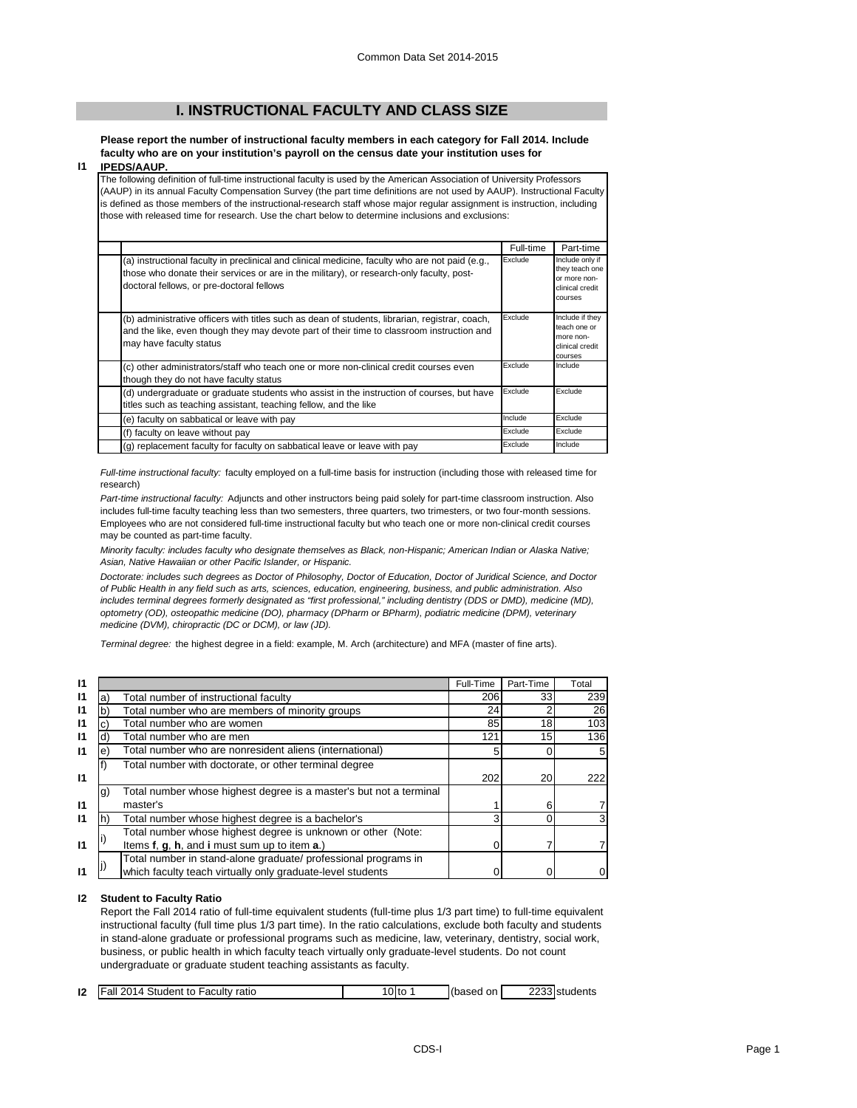# **I. INSTRUCTIONAL FACULTY AND CLASS SIZE**

**Please report the number of instructional faculty members in each category for Fall 2014. Include faculty who are on your institution's payroll on the census date your institution uses for** 

### **I1 IPEDS/AAUP.**

The following definition of full-time instructional faculty is used by the American Association of University Professors (AAUP) in its annual Faculty Compensation Survey (the part time definitions are not used by AAUP). Instructional Faculty is defined as those members of the instructional-research staff whose major regular assignment is instruction, including those with released time for research. Use the chart below to determine inclusions and exclusions:

|                                                                                                                                                                                                                                          | Full-time | Part-time                                                                       |
|------------------------------------------------------------------------------------------------------------------------------------------------------------------------------------------------------------------------------------------|-----------|---------------------------------------------------------------------------------|
| (a) instructional faculty in preclinical and clinical medicine, faculty who are not paid (e.g.,<br>those who donate their services or are in the military), or research-only faculty, post-<br>doctoral fellows, or pre-doctoral fellows | Exclude   | Include only if<br>they teach one<br>or more non-<br>clinical credit<br>courses |
| (b) administrative officers with titles such as dean of students, librarian, registrar, coach,<br>and the like, even though they may devote part of their time to classroom instruction and<br>may have faculty status                   | Exclude   | Include if they<br>teach one or<br>more non-<br>clinical credit<br>courses      |
| (c) other administrators/staff who teach one or more non-clinical credit courses even<br>though they do not have faculty status                                                                                                          | Exclude   | Include                                                                         |
| (d) undergraduate or graduate students who assist in the instruction of courses, but have<br>titles such as teaching assistant, teaching fellow, and the like                                                                            | Exclude   | Exclude                                                                         |
| (e) faculty on sabbatical or leave with pay                                                                                                                                                                                              | Include   | Exclude                                                                         |
| (f) faculty on leave without pay                                                                                                                                                                                                         | Exclude   | Exclude                                                                         |
| (g) replacement faculty for faculty on sabbatical leave or leave with pay                                                                                                                                                                | Exclude   | Include                                                                         |

*Full-time instructional faculty:* faculty employed on a full-time basis for instruction (including those with released time for research)

*Part-time instructional faculty:* Adjuncts and other instructors being paid solely for part-time classroom instruction. Also includes full-time faculty teaching less than two semesters, three quarters, two trimesters, or two four-month sessions. Employees who are not considered full-time instructional faculty but who teach one or more non-clinical credit courses may be counted as part-time faculty.

*Minority faculty: includes faculty who designate themselves as Black, non-Hispanic; American Indian or Alaska Native; Asian, Native Hawaiian or other Pacific Islander, or Hispanic.* 

*Doctorate: includes such degrees as Doctor of Philosophy, Doctor of Education, Doctor of Juridical Science, and Doctor of Public Health in any field such as arts, sciences, education, engineering, business, and public administration. Also*  includes terminal degrees formerly designated as "first professional," including dentistry (DDS or DMD), medicine (MD), *optometry (OD), osteopathic medicine (DO), pharmacy (DPharm or BPharm), podiatric medicine (DPM), veterinary medicine (DVM), chiropractic (DC or DCM), or law (JD).*

*Terminal degree:* the highest degree in a field: example, M. Arch (architecture) and MFA (master of fine arts).

| $\mathsf{I}$    |                                |                                                                    | Full-Time | Part-Time | Total          |
|-----------------|--------------------------------|--------------------------------------------------------------------|-----------|-----------|----------------|
| $\mathsf{I}$    | a)                             | Total number of instructional faculty                              | 206       | 33        | 239            |
| $\mathsf{I}$    |                                | Total number who are members of minority groups                    | 24        |           | 26             |
| $\mathbf{I}$    |                                | Total number who are women                                         | 85        | 18        | 103            |
| $\mathbf{I}$    | Total number who are men<br>d) |                                                                    | 121       | 15        | 136            |
| $\overline{11}$ | e                              | Total number who are nonresident aliens (international)            |           |           | 5              |
|                 |                                | Total number with doctorate, or other terminal degree              |           |           |                |
| $\overline{11}$ |                                |                                                                    | 202       | 20        | 222            |
|                 | g)                             | Total number whose highest degree is a master's but not a terminal |           |           |                |
| $\mathbf{I}$    | master's                       |                                                                    |           | 6         | 7              |
| 11              | n                              | Total number whose highest degree is a bachelor's                  |           |           | 3              |
|                 |                                | Total number whose highest degree is unknown or other (Note:       |           |           |                |
| $\overline{11}$ |                                | Items f, g, h, and i must sum up to item a.)                       |           |           | $\overline{7}$ |
|                 |                                | Total number in stand-alone graduate/ professional programs in     |           |           |                |
|                 |                                | which faculty teach virtually only graduate-level students         |           |           | 0              |

## **I2 Student to Faculty Ratio**

Report the Fall 2014 ratio of full-time equivalent students (full-time plus 1/3 part time) to full-time equivalent instructional faculty (full time plus 1/3 part time). In the ratio calculations, exclude both faculty and students in stand-alone graduate or professional programs such as medicine, law, veterinary, dentistry, social work, business, or public health in which faculty teach virtually only graduate-level students. Do not count undergraduate or graduate student teaching assistants as faculty.

| 12 | <b>IFall 2014 Student to Faculty ratio</b> | Olto | I(based<br>on. | <sup>2</sup> 233 students |
|----|--------------------------------------------|------|----------------|---------------------------|
|    |                                            |      |                |                           |